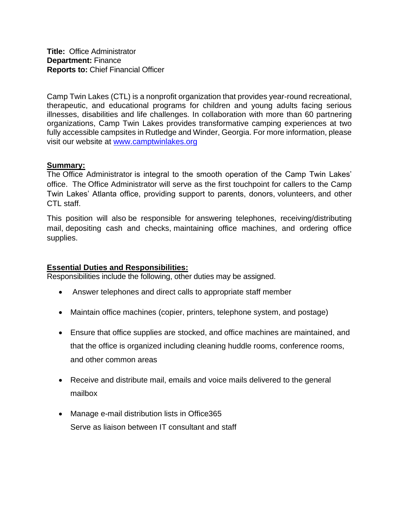Camp Twin Lakes (CTL) is a nonprofit organization that provides year-round recreational, therapeutic, and educational programs for children and young adults facing serious illnesses, disabilities and life challenges. In collaboration with more than 60 partnering organizations, Camp Twin Lakes provides transformative camping experiences at two fully accessible campsites in Rutledge and Winder, Georgia. For more information, please visit our website at [www.camptwinlakes.org](http://www.camptwinlakes.org/)

## **Summary:**

The Office Administrator is integral to the smooth operation of the Camp Twin Lakes' office. The Office Administrator will serve as the first touchpoint for callers to the Camp Twin Lakes' Atlanta office, providing support to parents, donors, volunteers, and other CTL staff.

This position will also be responsible for answering telephones, receiving/distributing mail, depositing cash and checks, maintaining office machines, and ordering office supplies.

## **Essential Duties and Responsibilities:**

Responsibilities include the following, other duties may be assigned.

- Answer telephones and direct calls to appropriate staff member
- Maintain office machines (copier, printers, telephone system, and postage)
- Ensure that office supplies are stocked, and office machines are maintained, and that the office is organized including cleaning huddle rooms, conference rooms, and other common areas
- Receive and distribute mail, emails and voice mails delivered to the general mailbox
- Manage e-mail distribution lists in Office365 Serve as liaison between IT consultant and staff